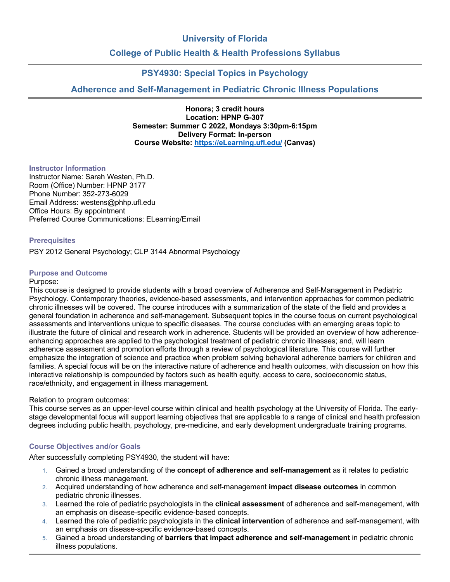# **University of Florida**

# **College of Public Health & Health Professions Syllabus**

# **PSY4930: Special Topics in Psychology**

# **Adherence and Self-Management in Pediatric Chronic Illness Populations**

**Honors; 3 credit hours Location: HPNP G-307 Semester: Summer C 2022, Mondays 3:30pm-6:15pm Delivery Format: In-person Course Website: https://eLearning.ufl.edu/ (Canvas)**

## **Instructor Information**

Instructor Name: Sarah Westen, Ph.D. Room (Office) Number: HPNP 3177 Phone Number: 352-273-6029 Email Address: westens@phhp.ufl.edu Office Hours: By appointment Preferred Course Communications: ELearning/Email

## **Prerequisites**

PSY 2012 General Psychology; CLP 3144 Abnormal Psychology

## **Purpose and Outcome**

#### Purpose:

This course is designed to provide students with a broad overview of Adherence and Self-Management in Pediatric Psychology. Contemporary theories, evidence-based assessments, and intervention approaches for common pediatric chronic illnesses will be covered. The course introduces with a summarization of the state of the field and provides a general foundation in adherence and self-management. Subsequent topics in the course focus on current psychological assessments and interventions unique to specific diseases. The course concludes with an emerging areas topic to illustrate the future of clinical and research work in adherence. Students will be provided an overview of how adherenceenhancing approaches are applied to the psychological treatment of pediatric chronic illnesses; and, will learn adherence assessment and promotion efforts through a review of psychological literature. This course will further emphasize the integration of science and practice when problem solving behavioral adherence barriers for children and families. A special focus will be on the interactive nature of adherence and health outcomes, with discussion on how this interactive relationship is compounded by factors such as health equity, access to care, socioeconomic status, race/ethnicity, and engagement in illness management.

## Relation to program outcomes:

This course serves as an upper-level course within clinical and health psychology at the University of Florida. The earlystage developmental focus will support learning objectives that are applicable to a range of clinical and health profession degrees including public health, psychology, pre-medicine, and early development undergraduate training programs.

## **Course Objectives and/or Goals**

After successfully completing PSY4930, the student will have:

- 1. Gained a broad understanding of the **concept of adherence and self-management** as it relates to pediatric chronic illness management.
- 2. Acquired understanding of how adherence and self-management **impact disease outcomes** in common pediatric chronic illnesses.
- 3. Learned the role of pediatric psychologists in the **clinical assessment** of adherence and self-management, with an emphasis on disease-specific evidence-based concepts.
- 4. Learned the role of pediatric psychologists in the **clinical intervention** of adherence and self-management, with an emphasis on disease-specific evidence-based concepts.
- 5. Gained a broad understanding of **barriers that impact adherence and self-management** in pediatric chronic illness populations.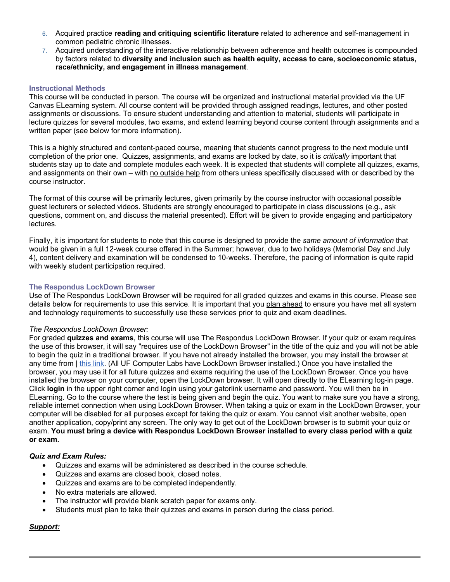- 6. Acquired practice **reading and critiquing scientific literature** related to adherence and self-management in common pediatric chronic illnesses.
- 7. Acquired understanding of the interactive relationship between adherence and health outcomes is compounded by factors related to **diversity and inclusion such as health equity, access to care, socioeconomic status, race/ethnicity, and engagement in illness management**.

## **Instructional Methods**

This course will be conducted in person. The course will be organized and instructional material provided via the UF Canvas ELearning system. All course content will be provided through assigned readings, lectures, and other posted assignments or discussions. To ensure student understanding and attention to material, students will participate in lecture quizzes for several modules, two exams, and extend learning beyond course content through assignments and a written paper (see below for more information).

This is a highly structured and content-paced course, meaning that students cannot progress to the next module until completion of the prior one. Quizzes, assignments, and exams are locked by date, so it is *critically* important that students stay up to date and complete modules each week. It is expected that students will complete all quizzes, exams, and assignments on their own – with no outside help from others unless specifically discussed with or described by the course instructor.

The format of this course will be primarily lectures, given primarily by the course instructor with occasional possible guest lecturers or selected videos. Students are strongly encouraged to participate in class discussions (e.g., ask questions, comment on, and discuss the material presented). Effort will be given to provide engaging and participatory lectures.

Finally, it is important for students to note that this course is designed to provide the *same amount of information* that would be given in a full 12-week course offered in the Summer; however, due to two holidays (Memorial Day and July 4), content delivery and examination will be condensed to 10-weeks. Therefore, the pacing of information is quite rapid with weekly student participation required.

## **The Respondus LockDown Browser**

Use of The Respondus LockDown Browser will be required for all graded quizzes and exams in this course. Please see details below for requirements to use this service. It is important that you plan ahead to ensure you have met all system and technology requirements to successfully use these services prior to quiz and exam deadlines.

## *The Respondus LockDown Browser:*

For graded **quizzes and exams**, this course will use The Respondus LockDown Browser. If your quiz or exam requires the use of this browser, it will say "requires use of the LockDown Browser" in the title of the quiz and you will not be able to begin the quiz in a traditional browser. If you have not already installed the browser, you may install the browser at any time from | this link. (All UF Computer Labs have LockDown Browser installed.) Once you have installed the browser, you may use it for all future quizzes and exams requiring the use of the LockDown Browser. Once you have installed the browser on your computer, open the LockDown browser. It will open directly to the ELearning log-in page. Click **login** in the upper right corner and login using your gatorlink username and password. You will then be in ELearning. Go to the course where the test is being given and begin the quiz. You want to make sure you have a strong, reliable internet connection when using LockDown Browser. When taking a quiz or exam in the LockDown Browser, your computer will be disabled for all purposes except for taking the quiz or exam. You cannot visit another website, open another application, copy/print any screen. The only way to get out of the LockDown browser is to submit your quiz or exam. **You must bring a device with Respondus LockDown Browser installed to every class period with a quiz or exam.**

## *Quiz and Exam Rules:*

- Quizzes and exams will be administered as described in the course schedule.
- Quizzes and exams are closed book, closed notes.
- Quizzes and exams are to be completed independently.
- No extra materials are allowed.
- The instructor will provide blank scratch paper for exams only.
- Students must plan to take their quizzes and exams in person during the class period.

## *Support:*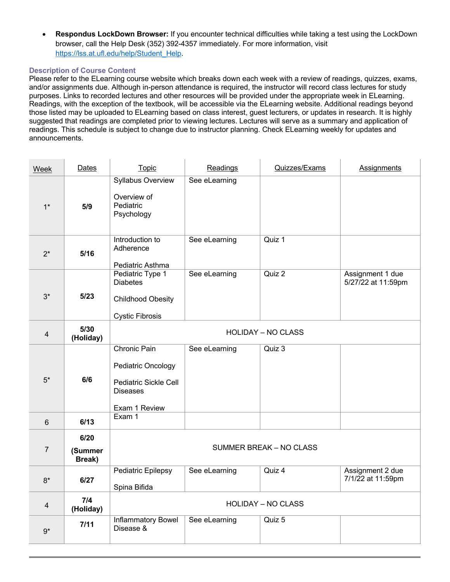• **Respondus LockDown Browser:** If you encounter technical difficulties while taking a test using the LockDown browser, call the Help Desk (352) 392-4357 immediately. For more information, visit https://lss.at.ufl.edu/help/Student\_Help.

# **Description of Course Content**

Please refer to the ELearning course website which breaks down each week with a review of readings, quizzes, exams, and/or assignments due. Although in-person attendance is required, the instructor will record class lectures for study purposes. Links to recorded lectures and other resources will be provided under the appropriate week in ELearning. Readings, with the exception of the textbook, will be accessible via the ELearning website. Additional readings beyond those listed may be uploaded to ELearning based on class interest, guest lecturers, or updates in research. It is highly suggested that readings are completed prior to viewing lectures. Lectures will serve as a summary and application of readings. This schedule is subject to change due to instructor planning. Check ELearning weekly for updates and announcements.

| Week                    | <b>Dates</b>              | Topic                                                                                           | Readings      | Quizzes/Exams                  | <b>Assignments</b>                     |  |  |  |  |  |  |  |  |
|-------------------------|---------------------------|-------------------------------------------------------------------------------------------------|---------------|--------------------------------|----------------------------------------|--|--|--|--|--|--|--|--|
| $1*$                    | 5/9                       | Syllabus Overview<br>Overview of<br>Pediatric<br>Psychology                                     | See eLearning |                                |                                        |  |  |  |  |  |  |  |  |
| $2^*$                   | 5/16                      | Introduction to<br>Adherence<br>Pediatric Asthma                                                | See eLearning | Quiz 1                         |                                        |  |  |  |  |  |  |  |  |
| $3*$                    | $5/23$                    | Pediatric Type 1<br><b>Diabetes</b><br><b>Childhood Obesity</b><br><b>Cystic Fibrosis</b>       | See eLearning | Quiz 2                         | Assignment 1 due<br>5/27/22 at 11:59pm |  |  |  |  |  |  |  |  |
| $\overline{\mathbf{4}}$ | 5/30<br>(Holiday)         | <b>HOLIDAY - NO CLASS</b>                                                                       |               |                                |                                        |  |  |  |  |  |  |  |  |
| $5*$                    | 6/6                       | Chronic Pain<br>Pediatric Oncology<br>Pediatric Sickle Cell<br><b>Diseases</b><br>Exam 1 Review | See eLearning | Quiz 3                         |                                        |  |  |  |  |  |  |  |  |
| 6                       | 6/13                      | Exam 1                                                                                          |               |                                |                                        |  |  |  |  |  |  |  |  |
| $\overline{7}$          | 6/20<br>(Summer<br>Break) |                                                                                                 |               | <b>SUMMER BREAK - NO CLASS</b> |                                        |  |  |  |  |  |  |  |  |
| $8*$                    | 6/27                      | Pediatric Epilepsy<br>Spina Bifida                                                              | See eLearning | Quiz 4                         | Assignment 2 due<br>7/1/22 at 11:59pm  |  |  |  |  |  |  |  |  |
| $\overline{4}$          | 7/4<br>(Holiday)          |                                                                                                 |               | <b>HOLIDAY - NO CLASS</b>      |                                        |  |  |  |  |  |  |  |  |
| $9*$                    | 7/11                      | Inflammatory Bowel<br>Disease &                                                                 | See eLearning | Quiz 5                         |                                        |  |  |  |  |  |  |  |  |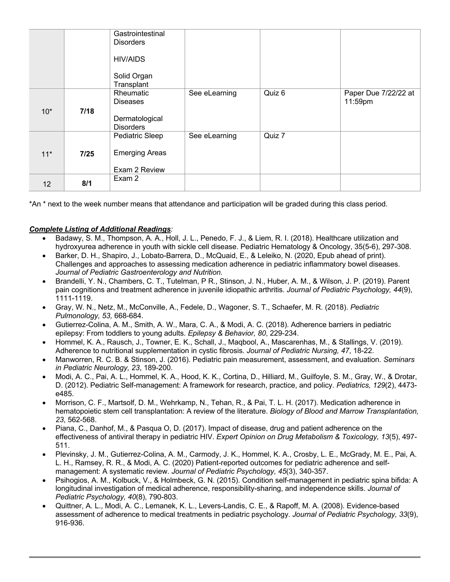|                 |        | Gastrointestinal<br><b>Disorders</b> |               |        |                                 |
|-----------------|--------|--------------------------------------|---------------|--------|---------------------------------|
|                 |        | <b>HIV/AIDS</b>                      |               |        |                                 |
|                 |        | Solid Organ<br>Transplant            |               |        |                                 |
|                 |        | Rheumatic<br><b>Diseases</b>         | See eLearning | Quiz 6 | Paper Due 7/22/22 at<br>11:59pm |
| $10^*$          | 7/18   |                                      |               |        |                                 |
|                 |        | Dermatological<br><b>Disorders</b>   |               |        |                                 |
|                 |        | Pediatric Sleep                      | See eLearning | Quiz 7 |                                 |
| $11*$           | $7/25$ | <b>Emerging Areas</b>                |               |        |                                 |
|                 |        | Exam 2 Review                        |               |        |                                 |
| 12 <sup>2</sup> | 8/1    | Exam 2                               |               |        |                                 |

\*An \* next to the week number means that attendance and participation will be graded during this class period.

# *Complete Listing of Additional Readings:*

- Badawy, S. M., Thompson, A. A., Holl, J. L., Penedo, F. J., & Liem, R. I. (2018). Healthcare utilization and hydroxyurea adherence in youth with sickle cell disease. Pediatric Hematology & Oncology, 35(5-6), 297-308.
- Barker, D. H., Shapiro, J., Lobato-Barrera, D., McQuaid, E., & Leleiko, N. (2020, Epub ahead of print). Challenges and approaches to assessing medication adherence in pediatric inflammatory bowel diseases. *Journal of Pediatric Gastroenterology and Nutrition*.
- Brandelli, Y. N., Chambers, C. T., Tutelman, P R., Stinson, J. N., Huber, A. M., & Wilson, J. P. (2019). Parent pain cognitions and treatment adherence in juvenile idiopathic arthritis. *Journal of Pediatric Psychology, 44*(9), 1111-1119.
- Gray, W. N., Netz, M., McConville, A., Fedele, D., Wagoner, S. T., Schaefer, M. R. (2018). *Pediatric Pulmonology, 53,* 668-684.
- Gutierrez-Colina, A. M., Smith, A. W., Mara, C. A., & Modi, A. C. (2018). Adherence barriers in pediatric epilepsy: From toddlers to young adults. *Epilepsy & Behavior, 80*, 229-234.
- Hommel, K. A., Rausch, J., Towner, E. K., Schall, J., Maqbool, A., Mascarenhas, M., & Stallings, V. (2019). Adherence to nutritional supplementation in cystic fibrosis. *Journal of Pediatric Nursing, 47*, 18-22.
- Manworren, R. C. B. & Stinson, J. (2016). Pediatric pain measurement, assessment, and evaluation. *Seminars in Pediatric Neurology, 23*, 189-200.
- Modi, A. C., Pai, A. L., Hommel, K. A., Hood, K. K., Cortina, D., Hilliard, M., Guilfoyle, S. M., Gray, W., & Drotar, D. (2012). Pediatric Self-management: A framework for research, practice, and policy. *Pediatrics, 129*(2), 4473 e485.
- Morrison, C. F., Martsolf, D. M., Wehrkamp, N., Tehan, R., & Pai, T. L. H. (2017). Medication adherence in hematopoietic stem cell transplantation: A review of the literature. *Biology of Blood and Marrow Transplantation, 23*, 562-568.
- Piana, C., Danhof, M., & Pasqua O, D. (2017). Impact of disease, drug and patient adherence on the effectiveness of antiviral therapy in pediatric HIV. *Expert Opinion on Drug Metabolism & Toxicology, 13*(5), 497- 511.
- Plevinsky, J. M., Gutierrez-Colina, A. M., Carmody, J. K., Hommel, K. A., Crosby, L. E., McGrady, M. E., Pai, A. L. H., Ramsey, R. R., & Modi, A. C. (2020) Patient-reported outcomes for pediatric adherence and selfmanagement: A systematic review. *Journal of Pediatric Psychology, 45*(3), 340-357.
- Psihogios, A. M., Kolbuck, V., & Holmbeck, G. N. (2015). Condition self-management in pediatric spina bifida: A longitudinal investigation of medical adherence, responsibility-sharing, and independence skills. *Journal of Pediatric Psychology, 40*(8), 790-803.
- Quittner, A. L., Modi, A. C., Lemanek, K. L., Levers-Landis, C. E., & Rapoff, M. A. (2008). Evidence-based assessment of adherence to medical treatments in pediatric psychology. *Journal of Pediatric Psychology, 33*(9), 916-936.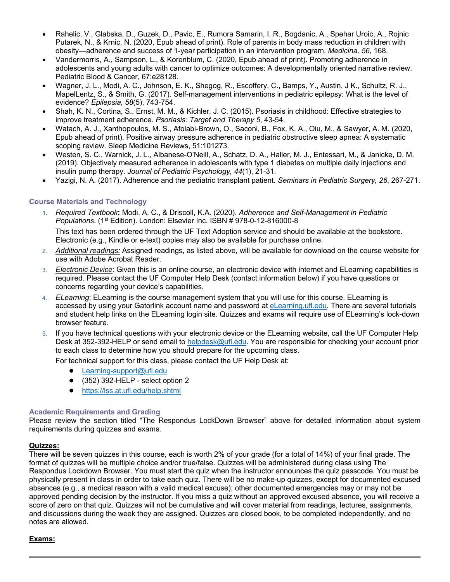- Rahelic, V., Glabska, D., Guzek, D., Pavic, E., Rumora Samarin, I. R., Bogdanic, A., Spehar Uroic, A., Rojnic Putarek, N., & Krnic, N. (2020, Epub ahead of print). Role of parents in body mass reduction in children with obesity—adherence and success of 1-year participation in an intervention program. *Medicina, 56,* 168.
- Vandermorris, A., Sampson, L., & Korenblum, C. (2020, Epub ahead of print). Promoting adherence in adolescents and young adults with cancer to optimize outcomes: A developmentally oriented narrative review. Pediatric Blood & Cancer, 67:e28128.
- Wagner, J. L., Modi, A. C., Johnson, E. K., Shegog, R., Escoffery, C., Bamps, Y., Austin, J K., Schultz, R. J., MapelLentz, S., & Smith, G. (2017). Self-management interventions in pediatric epilepsy: What is the level of evidence? *Epilepsia, 58*(5), 743-754.
- Shah, K. N., Cortina, S., Ernst, M. M., & Kichler, J. C. (2015). Psoriasis in childhood: Effective strategies to improve treatment adherence. *Psoriasis: Target and Therapy 5*, 43-54.
- Watach, A. J., Xanthopoulos, M. S., Afolabi-Brown, O., Saconi, B., Fox, K. A., Oiu, M., & Sawyer, A. M. (2020, Epub ahead of print). Positive airway pressure adherence in pediatric obstructive sleep apnea: A systematic scoping review. Sleep Medicine Reviews, 51:101273.
- Westen, S. C., Warnick, J. L., Albanese-O'Neill, A., Schatz, D. A., Haller, M. J., Entessari, M., & Janicke, D. M. (2019). Objectively measured adherence in adolescents with type 1 diabetes on multiple daily injections and insulin pump therapy. *Journal of Pediatric Psychology, 44*(1), 21-31.
- Yazigi, N. A. (2017). Adherence and the pediatric transplant patient. *Seminars in Pediatric Surgery, 26*, 267-271.

# **Course Materials and Technology**

**1.** *Required Textbook***:** Modi, A. C., & Driscoll, K.A. (2020). *Adherence and Self-Management in Pediatric Populations*. (1st Edition). London: Elsevier Inc. ISBN # 978-0-12-816000-8

This text has been ordered through the UF Text Adoption service and should be available at the bookstore. Electronic (e.g., Kindle or e-text) copies may also be available for purchase online.

- 2. *Additional readings:* Assigned readings, as listed above, will be available for download on the course website for use with Adobe Acrobat Reader.
- 3. *Electronic Device*: Given this is an online course, an electronic device with internet and ELearning capabilities is required. Please contact the UF Computer Help Desk (contact information below) if you have questions or concerns regarding your device's capabilities.
- 4. *ELearning*: ELearning is the course management system that you will use for this course. ELearning is accessed by using your Gatorlink account name and password at eLearning.ufl.edu. There are several tutorials and student help links on the ELearning login site. Quizzes and exams will require use of ELearning's lock-down browser feature.
- 5. If you have technical questions with your electronic device or the ELearning website, call the UF Computer Help Desk at 352-392-HELP or send email to helpdesk@ufl.edu. You are responsible for checking your account prior to each class to determine how you should prepare for the upcoming class.

For technical support for this class, please contact the UF Help Desk at:

- Learning-support@ufl.edu
- $\bullet$  (352) 392-HELP select option 2
- https://lss.at.ufl.edu/help.shtml

## **Academic Requirements and Grading**

Please review the section titled "The Respondus LockDown Browser" above for detailed information about system requirements during quizzes and exams.

# **Quizzes:**

There will be seven quizzes in this course, each is worth 2% of your grade (for a total of 14%) of your final grade. The format of quizzes will be multiple choice and/or true/false. Quizzes will be administered during class using The Respondus Lockdown Browser. You must start the quiz when the instructor announces the quiz passcode. You must be physically present in class in order to take each quiz. There will be no make-up quizzes, except for documented excused absences (e.g., a medical reason with a valid medical excuse); other documented emergencies may or may not be approved pending decision by the instructor. If you miss a quiz without an approved excused absence, you will receive a score of zero on that quiz. Quizzes will not be cumulative and will cover material from readings, lectures, assignments, and discussions during the week they are assigned. Quizzes are closed book, to be completed independently, and no notes are allowed.

# **Exams:**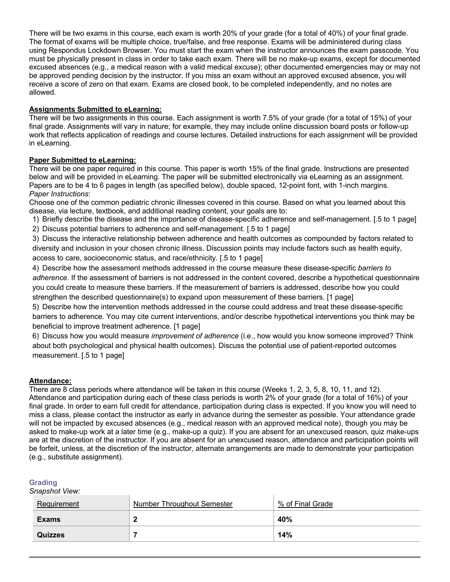There will be two exams in this course, each exam is worth 20% of your grade (for a total of 40%) of your final grade. The format of exams will be multiple choice, true/false, and free response. Exams will be administered during class using Respondus Lockdown Browser. You must start the exam when the instructor announces the exam passcode. You must be physically present in class in order to take each exam. There will be no make-up exams, except for documented excused absences (e.g., a medical reason with a valid medical excuse); other documented emergencies may or may not be approved pending decision by the instructor. If you miss an exam without an approved excused absence, you will receive a score of zero on that exam. Exams are closed book, to be completed independently, and no notes are allowed.

# **Assignments Submitted to eLearning:**

There will be two assignments in this course. Each assignment is worth 7.5% of your grade (for a total of 15%) of your final grade. Assignments will vary in nature; for example, they may include online discussion board posts or follow-up work that reflects application of readings and course lectures. Detailed instructions for each assignment will be provided in eLearning.

# **Paper Submitted to eLearning:**

There will be one paper required in this course. This paper is worth 15% of the final grade. Instructions are presented below and will be provided in eLearning. The paper will be submitted electronically via eLearning as an assignment. Papers are to be 4 to 6 pages in length (as specified below), double spaced, 12-point font, with 1-inch margins. *Paper Instructions*:

Choose one of the common pediatric chronic illnesses covered in this course. Based on what you learned about this disease, via lecture, textbook, and additional reading content, your goals are to:

- 1) Briefly describe the disease and the importance of disease-specific adherence and self-management. [.5 to 1 page]
- 2) Discuss potential barriers to adherence and self-management. [.5 to 1 page]

3) Discuss the interactive relationship between adherence and health outcomes as compounded by factors related to diversity and inclusion in your chosen chronic illness. Discussion points may include factors such as health equity, access to care, socioeconomic status, and race/ethnicity. [.5 to 1 page]

4) Describe how the assessment methods addressed in the course measure these disease-specific *barriers to adherence*. If the assessment of barriers is not addressed in the content covered, describe a hypothetical questionnaire you could create to measure these barriers. If the measurement of barriers is addressed, describe how you could strengthen the described questionnaire(s) to expand upon measurement of these barriers. [1 page]

5) Describe how the intervention methods addressed in the course could address and treat these disease-specific barriers to adherence. You may cite current interventions, and/or describe hypothetical interventions you think may be beneficial to improve treatment adherence. [1 page]

6) Discuss how you would measure *improvement of adherence* (i.e., how would you know someone improved? Think about both psychological and physical health outcomes). Discuss the potential use of patient-reported outcomes measurement. [.5 to 1 page]

# **Attendance:**

There are 8 class periods where attendance will be taken in this course (Weeks 1, 2, 3, 5, 8, 10, 11, and 12). Attendance and participation during each of these class periods is worth 2% of your grade (for a total of 16%) of your final grade. In order to earn full credit for attendance, participation during class is expected. If you know you will need to miss a class, please contact the instructor as early in advance during the semester as possible. Your attendance grade will not be impacted by excused absences (e.g., medical reason with an approved medical note), though you may be asked to make-up work at a later time (e.g., make-up a quiz). If you are absent for an unexcused reason, quiz make-ups are at the discretion of the instructor. If you are absent for an unexcused reason, attendance and participation points will be forfeit, unless, at the discretion of the instructor, alternate arrangements are made to demonstrate your participation (e.g., substitute assignment).

# **Grading**

*Snapshot View:*

| Requirement    | <b>Number Throughout Semester</b> | % of Final Grade |  |  |  |
|----------------|-----------------------------------|------------------|--|--|--|
| <b>Exams</b>   |                                   | 40%              |  |  |  |
| <b>Quizzes</b> |                                   | 14%              |  |  |  |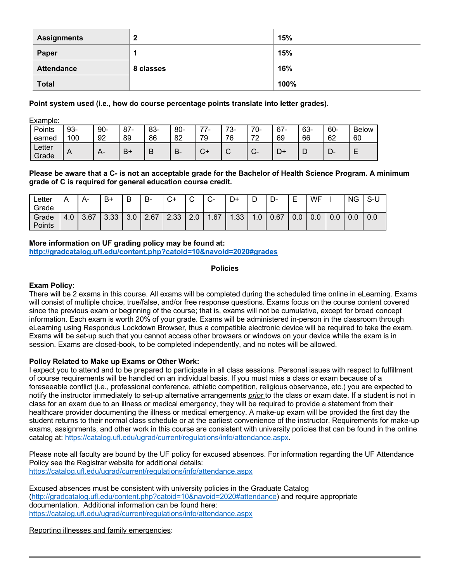| <b>Assignments</b> | 2<br>-    | 15%  |
|--------------------|-----------|------|
| Paper              |           | 15%  |
| <b>Attendance</b>  | 8 classes | 16%  |
| <b>Total</b>       |           | 100% |

**Point system used (i.e., how do course percentage points translate into letter grades).**

Example:

| Points          | 93- | $90 -$     | 87 | 83- | $80 -$ | --      | 70<br>. ಎ-  | 70<br>U- | $67 -$ | 63- | 60-    | <b>Below</b> |
|-----------------|-----|------------|----|-----|--------|---------|-------------|----------|--------|-----|--------|--------------|
| earned          | 100 | 92         | 89 | 86  | 82     | 70<br>ັ | 76          | 70       | 69     | 66  | 62     | 60           |
| Letter<br>Grade | A   | $\sqrt{ }$ | B١ | B   | В.     |         | $\sim$<br>๛ | ⌒        | D+     | └   | −<br>► |              |

Please be aware that a C- is not an acceptable grade for the Bachelor of Health Science Program. A minimum **grade of C is required for general education course credit.**

| ∟etter<br>Grade |     | А-   | B+   | B   | B-   | $\sim$<br>_+ب | $\sim$<br>ັ           | $\sim$<br><b>ی</b> | D+                     | ◡                                 | $\blacksquare$<br>-ت | ┍<br>-<br>▃ | WF  |     | <b>NG</b> | S-L |
|-----------------|-----|------|------|-----|------|---------------|-----------------------|--------------------|------------------------|-----------------------------------|----------------------|-------------|-----|-----|-----------|-----|
| Grade<br>Points | 4.0 | 3.67 | 3.33 | 3.0 | 2.67 | 2.33          | $\Omega$<br>C.<br>Z.U | .67                | 1.33<br>$\overline{ }$ | $\Omega$<br>$\overline{ }$<br>IJ. | 0.67                 | 0.0         | 0.0 | 0.0 | 0.0       | 0.0 |

**More information on UF grading policy may be found at: http://gradcatalog.ufl.edu/content.php?catoid=10&navoid=2020#grades**

**Policies**

# **Exam Policy:**

There will be 2 exams in this course. All exams will be completed during the scheduled time online in eLearning. Exams will consist of multiple choice, true/false, and/or free response questions. Exams focus on the course content covered since the previous exam or beginning of the course; that is, exams will not be cumulative, except for broad concept information. Each exam is worth 20% of your grade. Exams will be administered in-person in the classroom through eLearning using Respondus Lockdown Browser, thus a compatible electronic device will be required to take the exam. Exams will be set-up such that you cannot access other browsers or windows on your device while the exam is in session. Exams are closed-book, to be completed independently, and no notes will be allowed.

## **Policy Related to Make up Exams or Other Work:**

I expect you to attend and to be prepared to participate in all class sessions. Personal issues with respect to fulfillment of course requirements will be handled on an individual basis. If you must miss a class or exam because of a foreseeable conflict (i.e., professional conference, athletic competition, religious observance, etc.) you are expected to notify the instructor immediately to set-up alternative arrangements *prior* to the class or exam date. If a student is not in class for an exam due to an illness or medical emergency, they will be required to provide a statement from their healthcare provider documenting the illness or medical emergency. A make-up exam will be provided the first day the student returns to their normal class schedule or at the earliest convenience of the instructor. Requirements for make-up exams, assignments, and other work in this course are consistent with university policies that can be found in the online catalog at: https://catalog.ufl.edu/ugrad/current/regulations/info/attendance.aspx.

Please note all faculty are bound by the UF policy for excused absences. For information regarding the UF Attendance Policy see the Registrar website for additional details: https://catalog.ufl.edu/ugrad/current/regulations/info/attendance.aspx

Excused absences must be consistent with university policies in the Graduate Catalog (http://gradcatalog.ufl.edu/content.php?catoid=10&navoid=2020#attendance) and require appropriate documentation. Additional information can be found here: https://catalog.ufl.edu/ugrad/current/regulations/info/attendance.aspx

Reporting illnesses and family emergencies: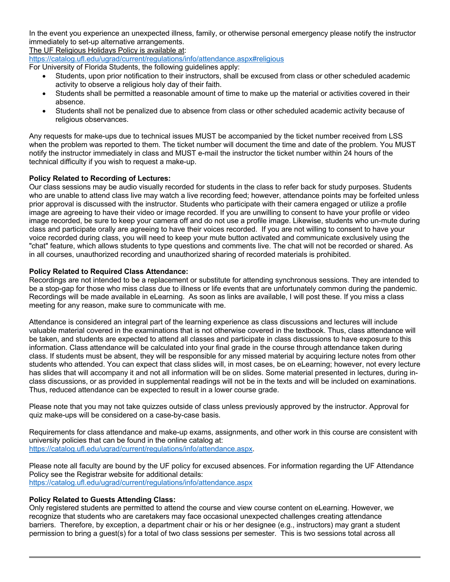In the event you experience an unexpected illness, family, or otherwise personal emergency please notify the instructor immediately to set-up alternative arrangements.

The UF Religious Holidays Policy is available at:

https://catalog.ufl.edu/ugrad/current/regulations/info/attendance.aspx#religious

For University of Florida Students, the following guidelines apply:

- Students, upon prior notification to their instructors, shall be excused from class or other scheduled academic activity to observe a religious holy day of their faith.
- Students shall be permitted a reasonable amount of time to make up the material or activities covered in their absence.
- Students shall not be penalized due to absence from class or other scheduled academic activity because of religious observances.

Any requests for make-ups due to technical issues MUST be accompanied by the ticket number received from LSS when the problem was reported to them. The ticket number will document the time and date of the problem. You MUST notify the instructor immediately in class and MUST e-mail the instructor the ticket number within 24 hours of the technical difficulty if you wish to request a make-up.

# **Policy Related to Recording of Lectures:**

Our class sessions may be audio visually recorded for students in the class to refer back for study purposes. Students who are unable to attend class live may watch a live recording feed; however, attendance points may be forfeited unless prior approval is discussed with the instructor. Students who participate with their camera engaged or utilize a profile image are agreeing to have their video or image recorded. If you are unwilling to consent to have your profile or video image recorded, be sure to keep your camera off and do not use a profile image. Likewise, students who un-mute during class and participate orally are agreeing to have their voices recorded. If you are not willing to consent to have your voice recorded during class, you will need to keep your mute button activated and communicate exclusively using the "chat" feature, which allows students to type questions and comments live. The chat will not be recorded or shared. As in all courses, unauthorized recording and unauthorized sharing of recorded materials is prohibited.

# **Policy Related to Required Class Attendance:**

Recordings are not intended to be a replacement or substitute for attending synchronous sessions. They are intended to be a stop-gap for those who miss class due to illness or life events that are unfortunately common during the pandemic. Recordings will be made available in eLearning. As soon as links are available, I will post these. If you miss a class meeting for any reason, make sure to communicate with me.

Attendance is considered an integral part of the learning experience as class discussions and lectures will include valuable material covered in the examinations that is not otherwise covered in the textbook. Thus, class attendance will be taken, and students are expected to attend all classes and participate in class discussions to have exposure to this information. Class attendance will be calculated into your final grade in the course through attendance taken during class. If students must be absent, they will be responsible for any missed material by acquiring lecture notes from other students who attended. You can expect that class slides will, in most cases, be on eLearning; however, not every lecture has slides that will accompany it and not all information will be on slides. Some material presented in lectures, during inclass discussions, or as provided in supplemental readings will not be in the texts and will be included on examinations. Thus, reduced attendance can be expected to result in a lower course grade.

Please note that you may not take quizzes outside of class unless previously approved by the instructor. Approval for quiz make-ups will be considered on a case-by-case basis.

Requirements for class attendance and make-up exams, assignments, and other work in this course are consistent with university policies that can be found in the online catalog at: https://catalog.ufl.edu/ugrad/current/regulations/info/attendance.aspx.

Please note all faculty are bound by the UF policy for excused absences. For information regarding the UF Attendance Policy see the Registrar website for additional details: https://catalog.ufl.edu/ugrad/current/regulations/info/attendance.aspx

## **Policy Related to Guests Attending Class:**

Only registered students are permitted to attend the course and view course content on eLearning. However, we recognize that students who are caretakers may face occasional unexpected challenges creating attendance barriers. Therefore, by exception, a department chair or his or her designee (e.g., instructors) may grant a student permission to bring a guest(s) for a total of two class sessions per semester. This is two sessions total across all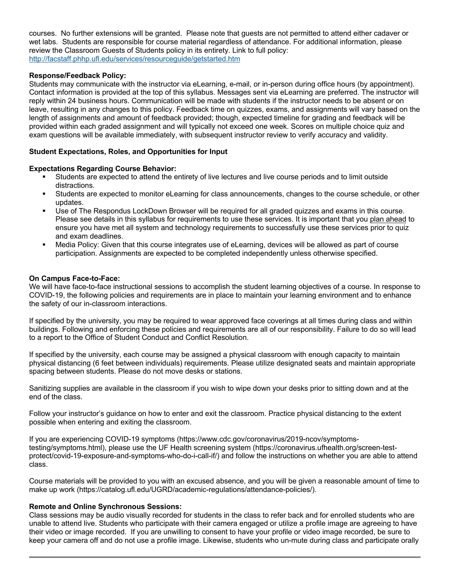courses. No further extensions will be granted. Please note that guests are not permitted to attend either cadaver or wet labs. Students are responsible for course material regardless of attendance. For additional information, please review the Classroom Guests of Students policy in its entirety. Link to full policy: http://facstaff.phhp.ufl.edu/services/resourceguide/getstarted.htm

# **Response/Feedback Policy:**

Students may communicate with the instructor via eLearning, e-mail, or in-person during office hours (by appointment). Contact information is provided at the top of this syllabus. Messages sent via eLearning are preferred. The instructor will reply within 24 business hours. Communication will be made with students if the instructor needs to be absent or on leave, resulting in any changes to this policy. Feedback time on quizzes, exams, and assignments will vary based on the length of assignments and amount of feedback provided; though, expected timeline for grading and feedback will be provided within each graded assignment and will typically not exceed one week. Scores on multiple choice quiz and exam questions will be available immediately, with subsequent instructor review to verify accuracy and validity.

# **Student Expectations, Roles, and Opportunities for Input**

## **Expectations Regarding Course Behavior:**

- § Students are expected to attend the entirety of live lectures and live course periods and to limit outside distractions.
- § Students are expected to monitor eLearning for class announcements, changes to the course schedule, or other updates.
- Use of The Respondus LockDown Browser will be required for all graded quizzes and exams in this course. Please see details in this syllabus for requirements to use these services. It is important that you plan ahead to ensure you have met all system and technology requirements to successfully use these services prior to quiz and exam deadlines.
- § Media Policy: Given that this course integrates use of eLearning, devices will be allowed as part of course participation. Assignments are expected to be completed independently unless otherwise specified.

#### **On Campus Face-to-Face:**

We will have face-to-face instructional sessions to accomplish the student learning objectives of a course. In response to COVID-19, the following policies and requirements are in place to maintain your learning environment and to enhance the safety of our in-classroom interactions.

If specified by the university, you may be required to wear approved face coverings at all times during class and within buildings. Following and enforcing these policies and requirements are all of our responsibility. Failure to do so will lead to a report to the Office of Student Conduct and Conflict Resolution.

If specified by the university, each course may be assigned a physical classroom with enough capacity to maintain physical distancing (6 feet between individuals) requirements. Please utilize designated seats and maintain appropriate spacing between students. Please do not move desks or stations.

Sanitizing supplies are available in the classroom if you wish to wipe down your desks prior to sitting down and at the end of the class.

Follow your instructor's guidance on how to enter and exit the classroom. Practice physical distancing to the extent possible when entering and exiting the classroom.

If you are experiencing COVID-19 symptoms (https://www.cdc.gov/coronavirus/2019-ncov/symptomstesting/symptoms.html), please use the UF Health screening system (https://coronavirus.ufhealth.org/screen-testprotect/covid-19-exposure-and-symptoms-who-do-i-call-if/) and follow the instructions on whether you are able to attend class.

Course materials will be provided to you with an excused absence, and you will be given a reasonable amount of time to make up work (https://catalog.ufl.edu/UGRD/academic-regulations/attendance-policies/).

#### **Remote and Online Synchronous Sessions:**

Class sessions may be audio visually recorded for students in the class to refer back and for enrolled students who are unable to attend live. Students who participate with their camera engaged or utilize a profile image are agreeing to have their video or image recorded. If you are unwilling to consent to have your profile or video image recorded, be sure to keep your camera off and do not use a profile image. Likewise, students who un-mute during class and participate orally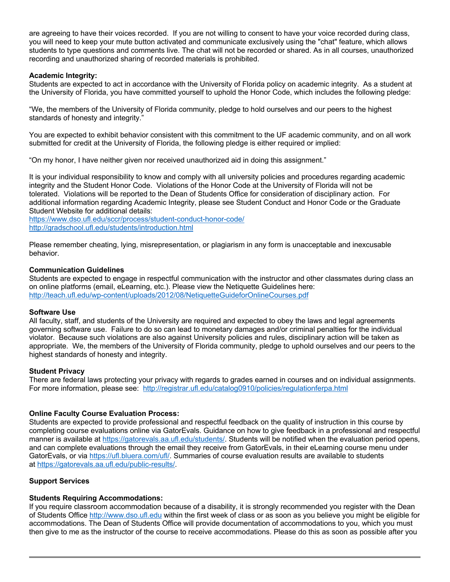are agreeing to have their voices recorded. If you are not willing to consent to have your voice recorded during class, you will need to keep your mute button activated and communicate exclusively using the "chat" feature, which allows students to type questions and comments live. The chat will not be recorded or shared. As in all courses, unauthorized recording and unauthorized sharing of recorded materials is prohibited.

# **Academic Integrity:**

Students are expected to act in accordance with the University of Florida policy on academic integrity. As a student at the University of Florida, you have committed yourself to uphold the Honor Code, which includes the following pledge:

"We, the members of the University of Florida community, pledge to hold ourselves and our peers to the highest standards of honesty and integrity."

You are expected to exhibit behavior consistent with this commitment to the UF academic community, and on all work submitted for credit at the University of Florida, the following pledge is either required or implied:

"On my honor, I have neither given nor received unauthorized aid in doing this assignment."

It is your individual responsibility to know and comply with all university policies and procedures regarding academic integrity and the Student Honor Code. Violations of the Honor Code at the University of Florida will not be tolerated. Violations will be reported to the Dean of Students Office for consideration of disciplinary action. For additional information regarding Academic Integrity, please see Student Conduct and Honor Code or the Graduate Student Website for additional details:

https://www.dso.ufl.edu/sccr/process/student-conduct-honor-code/ http://gradschool.ufl.edu/students/introduction.html

Please remember cheating, lying, misrepresentation, or plagiarism in any form is unacceptable and inexcusable behavior.

## **Communication Guidelines**

Students are expected to engage in respectful communication with the instructor and other classmates during class an on online platforms (email, eLearning, etc.). Please view the Netiquette Guidelines here: http://teach.ufl.edu/wp-content/uploads/2012/08/NetiquetteGuideforOnlineCourses.pdf

## **Software Use**

All faculty, staff, and students of the University are required and expected to obey the laws and legal agreements governing software use. Failure to do so can lead to monetary damages and/or criminal penalties for the individual violator. Because such violations are also against University policies and rules, disciplinary action will be taken as appropriate. We, the members of the University of Florida community, pledge to uphold ourselves and our peers to the highest standards of honesty and integrity.

## **Student Privacy**

There are federal laws protecting your privacy with regards to grades earned in courses and on individual assignments. For more information, please see: http://registrar.ufl.edu/catalog0910/policies/regulationferpa.html

## **Online Faculty Course Evaluation Process:**

Students are expected to provide professional and respectful feedback on the quality of instruction in this course by completing course evaluations online via GatorEvals. Guidance on how to give feedback in a professional and respectful manner is available at https://gatorevals.aa.ufl.edu/students/. Students will be notified when the evaluation period opens, and can complete evaluations through the email they receive from GatorEvals, in their eLearning course menu under GatorEvals, or via https://ufl.bluera.com/ufl/. Summaries of course evaluation results are available to students at https://gatorevals.aa.ufl.edu/public-results/.

# **Support Services**

## **Students Requiring Accommodations:**

If you require classroom accommodation because of a disability, it is strongly recommended you register with the Dean of Students Office http://www.dso.ufl.edu within the first week of class or as soon as you believe you might be eligible for accommodations. The Dean of Students Office will provide documentation of accommodations to you, which you must then give to me as the instructor of the course to receive accommodations. Please do this as soon as possible after you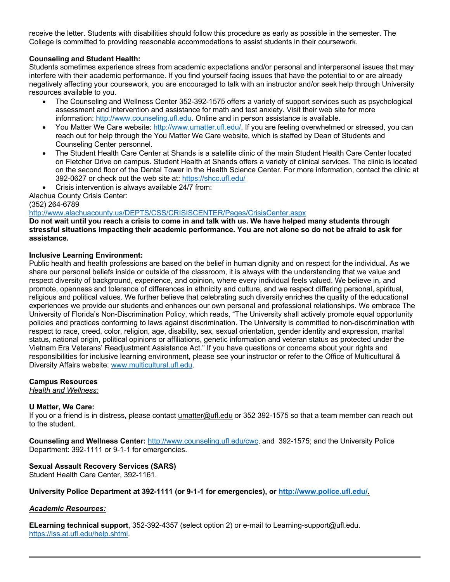receive the letter. Students with disabilities should follow this procedure as early as possible in the semester. The College is committed to providing reasonable accommodations to assist students in their coursework.

# **Counseling and Student Health:**

Students sometimes experience stress from academic expectations and/or personal and interpersonal issues that may interfere with their academic performance. If you find yourself facing issues that have the potential to or are already negatively affecting your coursework, you are encouraged to talk with an instructor and/or seek help through University resources available to you.

- The Counseling and Wellness Center 352-392-1575 offers a variety of support services such as psychological assessment and intervention and assistance for math and test anxiety. Visit their web site for more information: http://www.counseling.ufl.edu. Online and in person assistance is available.
- You Matter We Care website: http://www.umatter.ufl.edu/. If you are feeling overwhelmed or stressed, you can reach out for help through the You Matter We Care website, which is staffed by Dean of Students and Counseling Center personnel.
- The Student Health Care Center at Shands is a satellite clinic of the main Student Health Care Center located on Fletcher Drive on campus. Student Health at Shands offers a variety of clinical services. The clinic is located on the second floor of the Dental Tower in the Health Science Center. For more information, contact the clinic at 392-0627 or check out the web site at: https://shcc.ufl.edu/
- Crisis intervention is always available 24/7 from:

Alachua County Crisis Center:

(352) 264-6789

# http://www.alachuacounty.us/DEPTS/CSS/CRISISCENTER/Pages/CrisisCenter.aspx

**Do not wait until you reach a crisis to come in and talk with us. We have helped many students through stressful situations impacting their academic performance. You are not alone so do not be afraid to ask for assistance.**

# **Inclusive Learning Environment:**

Public health and health professions are based on the belief in human dignity and on respect for the individual. As we share our personal beliefs inside or outside of the classroom, it is always with the understanding that we value and respect diversity of background, experience, and opinion, where every individual feels valued. We believe in, and promote, openness and tolerance of differences in ethnicity and culture, and we respect differing personal, spiritual, religious and political values. We further believe that celebrating such diversity enriches the quality of the educational experiences we provide our students and enhances our own personal and professional relationships. We embrace The University of Florida's Non-Discrimination Policy, which reads, "The University shall actively promote equal opportunity policies and practices conforming to laws against discrimination. The University is committed to non-discrimination with respect to race, creed, color, religion, age, disability, sex, sexual orientation, gender identity and expression, marital status, national origin, political opinions or affiliations, genetic information and veteran status as protected under the Vietnam Era Veterans' Readjustment Assistance Act." If you have questions or concerns about your rights and responsibilities for inclusive learning environment, please see your instructor or refer to the Office of Multicultural & Diversity Affairs website: www.multicultural.ufl.edu.

## **Campus Resources**

*Health and Wellness:*

# **U Matter, We Care:**

If you or a friend is in distress, please contact *umatter@ufl.edu* or 352 392-1575 so that a team member can reach out to the student.

**Counseling and Wellness Center:** http://www.counseling.ufl.edu/cwc, and 392-1575; and the University Police Department: 392-1111 or 9-1-1 for emergencies.

## **Sexual Assault Recovery Services (SARS)**

Student Health Care Center, 392-1161.

## **University Police Department at 392-1111 (or 9-1-1 for emergencies), or http://www.police.ufl.edu/.**

## *Academic Resources:*

**ELearning technical support**, 352-392-4357 (select option 2) or e-mail to Learning-support@ufl.edu. https://lss.at.ufl.edu/help.shtml.